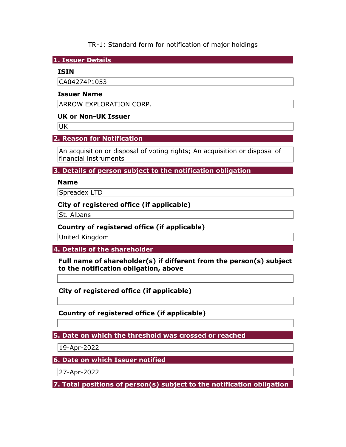TR-1: Standard form for notification of major holdings

**1. Issuer Details** 

#### **ISIN**

CA04274P1053

#### **Issuer Name**

ARROW EXPLORATION CORP.

#### **UK or Non-UK Issuer**

UK

# **2. Reason for Notification**

An acquisition or disposal of voting rights; An acquisition or disposal of financial instruments

#### **3. Details of person subject to the notification obligation**

#### **Name**

Spreadex LTD

#### **City of registered office (if applicable)**

St. Albans

## **Country of registered office (if applicable)**

United Kingdom

**4. Details of the shareholder** 

**Full name of shareholder(s) if different from the person(s) subject to the notification obligation, above** 

**City of registered office (if applicable)** 

**Country of registered office (if applicable)** 

**5. Date on which the threshold was crossed or reached** 

19-Apr-2022

**6. Date on which Issuer notified** 

27-Apr-2022

**7. Total positions of person(s) subject to the notification obligation**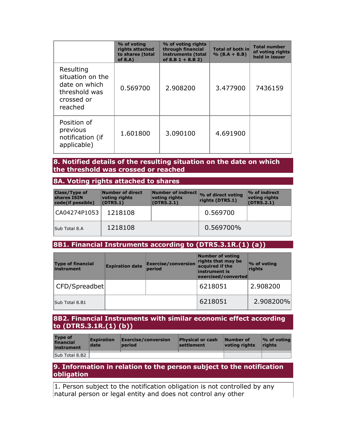|                                                                                          | % of voting<br>rights attached<br>to shares (total<br>of $8.A$ ) | % of voting rights<br>through financial<br>instruments (total<br>of 8.B $1 + 8.$ B 2) | <b>Total of both in</b><br>$% (8.A + 8.B)$ | <b>Total number</b><br>of voting rights<br>held in issuer |
|------------------------------------------------------------------------------------------|------------------------------------------------------------------|---------------------------------------------------------------------------------------|--------------------------------------------|-----------------------------------------------------------|
| Resulting<br>situation on the<br>date on which<br>threshold was<br>crossed or<br>reached | 0.569700                                                         | 2.908200                                                                              | 3.477900                                   | 7436159                                                   |
| Position of<br>previous<br>notification (if<br>applicable)                               | 1.601800                                                         | 3.090100                                                                              | 4.691900                                   |                                                           |

#### **8. Notified details of the resulting situation on the date on which the threshold was crossed or reached**

**8A. Voting rights attached to shares** 

| <b>Class/Type of</b><br>shares ISIN<br>code(if possible) | Number of direct<br>voting rights<br>(DTR5.1) | voting rights<br>(DTR5.2.1) | Number of indirect % of direct voting<br>rights (DTR5.1) | $\%$ of indirect<br>voting rights<br>(DTR5.2.1) |
|----------------------------------------------------------|-----------------------------------------------|-----------------------------|----------------------------------------------------------|-------------------------------------------------|
| CA04274P1053                                             | 1218108                                       |                             | 0.569700                                                 |                                                 |
| Sub Total 8.A                                            | 1218108                                       |                             | 0.569700%                                                |                                                 |

# **8B1. Financial Instruments according to (DTR5.3.1R.(1) (a))**

| <b>Type of financial</b><br>instrument | <b>Expiration date</b> | <b>Exercise/conversion</b><br>period | Number of voting<br>rights that may be<br>acquired if the<br>instrument is<br>exercised/converted | $\%$ of voting<br>rights |
|----------------------------------------|------------------------|--------------------------------------|---------------------------------------------------------------------------------------------------|--------------------------|
| CFD/Spreadbet                          |                        |                                      | 6218051                                                                                           | 2.908200                 |
| Sub Total 8.B1                         |                        |                                      | 6218051                                                                                           | 2.908200%                |

## **8B2. Financial Instruments with similar economic effect according to (DTR5.3.1R.(1) (b))**

| <b>Type of</b><br>financial<br>instrument | <b>Expiration</b><br>date | $\mathsf{Exercise}/\mathsf{conversion}$<br>period | <b>Physical or cash</b><br>settlement | Number of<br>voting rights | $\sqrt{2}$ of voting<br><b>rights</b> |
|-------------------------------------------|---------------------------|---------------------------------------------------|---------------------------------------|----------------------------|---------------------------------------|
| Sub Total 8.B2                            |                           |                                                   |                                       |                            |                                       |

#### **9. Information in relation to the person subject to the notification obligation**

1. Person subject to the notification obligation is not controlled by any natural person or legal entity and does not control any other